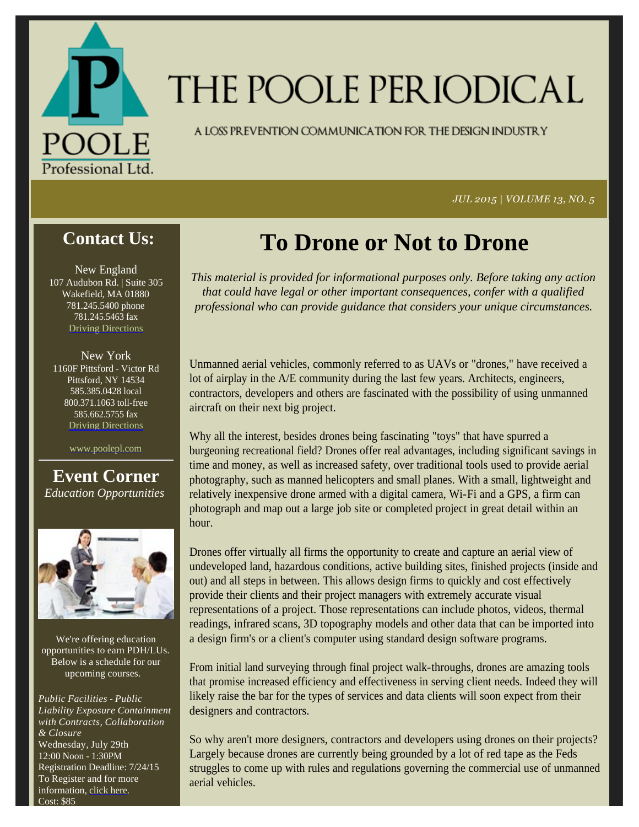

# THE POOLE PERIODICAL

A LOSS PREVENTION COMMUNICATION FOR THE DESIGN INDUSTRY

*JUL 2015 | VOLUME 13, NO. 5*

#### **Contact Us:**

New England 107 Audubon Rd. | Suite 305 Wakefield, MA 01880 781.245.5400 phone 781.245.5463 fax Driving Directions

New York 1160F Pittsford - Victor Rd Pittsford, NY 14534 585.385.0428 local 800.371.1063 toll-free 585.662.5755 fax Driving Directions

www.poolepl.com

**Event Corner** *Education Opportunities*



We're offering education opportunities to earn PDH/LUs. Below is a schedule for our upcoming courses.

*Public Facilities - Public Liability Exposure Containment with Contracts, Collaboration & Closure* Wednesday, July 29th 12:00 Noon - 1:30PM Registration Deadline: 7/24/15 To Register and for more information, click here. Cost: \$85

## **To Drone or Not to Drone**

*This material is provided for informational purposes only. Before taking any action that could have legal or other important consequences, confer with a qualified professional who can provide guidance that considers your unique circumstances.*

Unmanned aerial vehicles, commonly referred to as UAVs or "drones," have received a lot of airplay in the A/E community during the last few years. Architects, engineers, contractors, developers and others are fascinated with the possibility of using unmanned aircraft on their next big project.

Why all the interest, besides drones being fascinating "toys" that have spurred a burgeoning recreational field? Drones offer real advantages, including significant savings in time and money, as well as increased safety, over traditional tools used to provide aerial photography, such as manned helicopters and small planes. With a small, lightweight and relatively inexpensive drone armed with a digital camera, Wi-Fi and a GPS, a firm can photograph and map out a large job site or completed project in great detail within an hour.

Drones offer virtually all firms the opportunity to create and capture an aerial view of undeveloped land, hazardous conditions, active building sites, finished projects (inside and out) and all steps in between. This allows design firms to quickly and cost effectively provide their clients and their project managers with extremely accurate visual representations of a project. Those representations can include photos, videos, thermal readings, infrared scans, 3D topography models and other data that can be imported into a design firm's or a client's computer using standard design software programs.

From initial land surveying through final project walk-throughs, drones are amazing tools that promise increased efficiency and effectiveness in serving client needs. Indeed they will likely raise the bar for the types of services and data clients will soon expect from their designers and contractors.

So why aren't more designers, contractors and developers using drones on their projects? Largely because drones are currently being grounded by a lot of red tape as the Feds struggles to come up with rules and regulations governing the commercial use of unmanned aerial vehicles.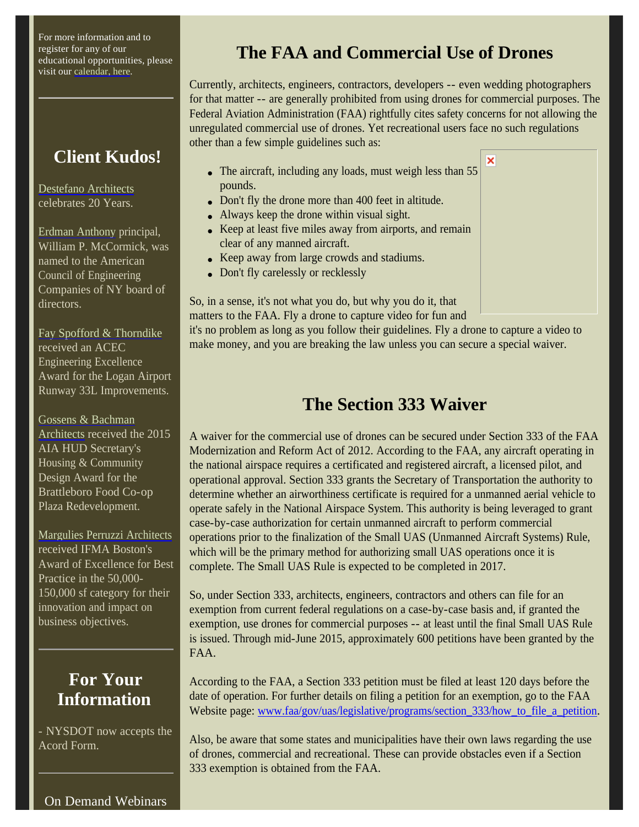For more information and to register for any of our educational opportunities, please visit our calendar, here.

#### **Client Kudos!**

Destefano Architects celebrates 20 Years.

Erdman Anthony principal, William P. McCormick, was named to the American Council of Engineering Companies of NY board of directors.

Fay Spofford & Thorndike received an ACEC Engineering Excellence Award for the Logan Airport Runway 33L Improvements.

Gossens & Bachman Architects received the 2015 AIA HUD Secretary's Housing & Community Design Award for the Brattleboro Food Co-op Plaza Redevelopment.

Margulies Perruzzi Architects received IFMA Boston's Award of Excellence for Best Practice in the 50,000- 150,000 sf category for their innovation and impact on business objectives.

#### **For Your Information**

- NYSDOT now accepts the Acord Form.

## **The FAA and Commercial Use of Drones**

Currently, architects, engineers, contractors, developers -- even wedding photographers for that matter -- are generally prohibited from using drones for commercial purposes. The Federal Aviation Administration (FAA) rightfully cites safety concerns for not allowing the unregulated commercial use of drones. Yet recreational users face no such regulations other than a few simple guidelines such as:

×

- The aircraft, including any loads, must weigh less than 55 pounds.
- Don't fly the drone more than 400 feet in altitude.
- Always keep the drone within visual sight.
- Keep at least five miles away from airports, and remain clear of any manned aircraft.
- Keep away from large crowds and stadiums.
- Don't fly carelessly or recklessly

So, in a sense, it's not what you do, but why you do it, that matters to the FAA. Fly a drone to capture video for fun and

it's no problem as long as you follow their guidelines. Fly a drone to capture a video to make money, and you are breaking the law unless you can secure a special waiver.

#### **The Section 333 Waiver**

A waiver for the commercial use of drones can be secured under Section 333 of the FAA Modernization and Reform Act of 2012. According to the FAA, any aircraft operating in the national airspace requires a certificated and registered aircraft, a licensed pilot, and operational approval. Section 333 grants the Secretary of Transportation the authority to determine whether an airworthiness certificate is required for a unmanned aerial vehicle to operate safely in the National Airspace System. This authority is being leveraged to grant case-by-case authorization for certain unmanned aircraft to perform commercial operations prior to the finalization of the Small UAS (Unmanned Aircraft Systems) Rule, which will be the primary method for authorizing small UAS operations once it is complete. The Small UAS Rule is expected to be completed in 2017.

So, under Section 333, architects, engineers, contractors and others can file for an exemption from current federal regulations on a case-by-case basis and, if granted the exemption, use drones for commercial purposes -- at least until the final Small UAS Rule is issued. Through mid-June 2015, approximately 600 petitions have been granted by the FAA.

According to the FAA, a Section 333 petition must be filed at least 120 days before the date of operation. For further details on filing a petition for an exemption, go to the FAA Website page: www.faa/gov/uas/legislative/programs/section\_333/how\_to\_file\_a\_petition.

Also, be aware that some states and municipalities have their own laws regarding the use of drones, commercial and recreational. These can provide obstacles even if a Section 333 exemption is obtained from the FAA.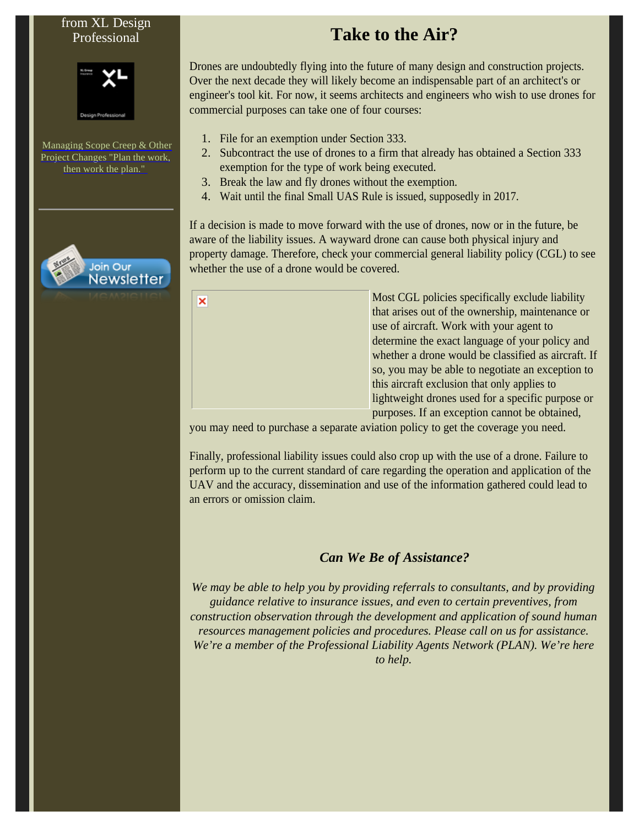#### from XL Design Professional



Managing Scope Creep & Other Project Changes "Plan the work, then work the plan."



 $\overline{\mathbf{x}}$ 

### **Take to the Air?**

Drones are undoubtedly flying into the future of many design and construction projects. Over the next decade they will likely become an indispensable part of an architect's or engineer's tool kit. For now, it seems architects and engineers who wish to use drones for commercial purposes can take one of four courses:

- 1. File for an exemption under Section 333.
- 2. Subcontract the use of drones to a firm that already has obtained a Section 333 exemption for the type of work being executed.
- 3. Break the law and fly drones without the exemption.
- 4. Wait until the final Small UAS Rule is issued, supposedly in 2017.

If a decision is made to move forward with the use of drones, now or in the future, be aware of the liability issues. A wayward drone can cause both physical injury and property damage. Therefore, check your commercial general liability policy (CGL) to see whether the use of a drone would be covered.

| Most CGL policies specifically exclude liability    |
|-----------------------------------------------------|
| that arises out of the ownership, maintenance or    |
| use of aircraft. Work with your agent to            |
| determine the exact language of your policy and     |
| whether a drone would be classified as aircraft. If |
| so, you may be able to negotiate an exception to    |
| this aircraft exclusion that only applies to        |
| lightweight drones used for a specific purpose or   |
| purposes. If an exception cannot be obtained,       |

you may need to purchase a separate aviation policy to get the coverage you need.

Finally, professional liability issues could also crop up with the use of a drone. Failure to perform up to the current standard of care regarding the operation and application of the UAV and the accuracy, dissemination and use of the information gathered could lead to an errors or omission claim.

#### *Can We Be of Assistance?*

*We may be able to help you by providing referrals to consultants, and by providing guidance relative to insurance issues, and even to certain preventives, from construction observation through the development and application of sound human resources management policies and procedures. Please call on us for assistance. We're a member of the Professional Liability Agents Network (PLAN). We're here to help.*